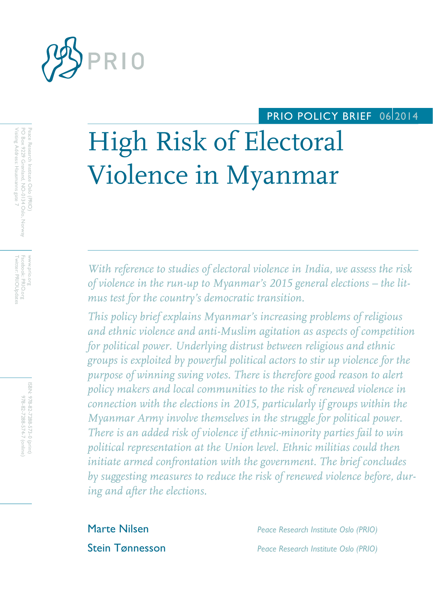

# PRIO POLICY BRIEF 06 2014

# High Risk of Electoral Violence in Myanmar

*With reference to studies of electoral violence in India, we assess the risk of violence in the run-up to Myanmar's 2015 general elections – the litmus test for the country's democratic transition.*

*This policy brief explains Myanmar's increasing problems of religious and ethnic violence and anti-Muslim agitation as aspects of competition for political power. Underlying distrust between religious and ethnic groups is exploited by powerful political actors to stir up violence for the purpose of winning swing votes. There is therefore good reason to alert policy makers and local communities to the risk of renewed violence in connection with the elections in 2015, particularly if groups within the Myanmar Army involve themselves in the struggle for political power. There is an added risk of violence if ethnic-minority parties fail to win political representation at the Union level. Ethnic militias could then initiate armed confrontation with the government. The brief concludes by suggesting measures to reduce the risk of renewed violence before, during and after the elections.*

Marte Nilsen *Peace Research Institute Oslo (PRIO)* Stein Tønnesson *Peace Research Institute Oslo (PRIO)*

Visiting Address: Hausmanns gate 7 PO Box 9229 Grønland, NO-0134 Oslo, Norway Peace Research Institute Oslo (PRIO) Visiting Address: Hausmanns gate 7 PO Box 9229 Grønland, NO Peace Research Institute Oslo (PRIO) -0134 Oslo, Norway

Facebook: PRIO.org<br>Twitter: PRIOUpdate Twitter: PRIOUpdates www.prio.org www.prio.org Facebook: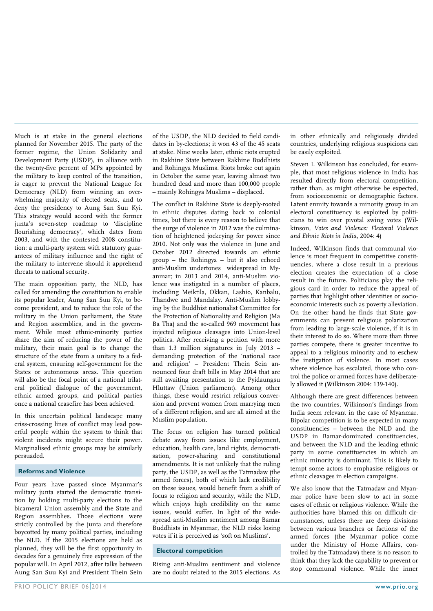Much is at stake in the general elections planned for November 2015. The party of the former regime, the Union Solidarity and Development Party (USDP), in alliance with the twenty-five percent of MPs appointed by the military to keep control of the transition, is eager to prevent the National League for Democracy (NLD) from winning an overwhelming majority of elected seats, and to deny the presidency to Aung San Suu Kyi. This strategy would accord with the former junta's seven-step roadmap to 'discipline flourishing democracy', which dates from 2003, and with the contested 2008 constitution: a multi-party system with statutory guarantees of military influence and the right of the military to intervene should it apprehend threats to national security.

The main opposition party, the NLD, has called for amending the constitution to enable its popular leader, Aung San Suu Kyi, to become president, and to reduce the role of the military in the Union parliament, the State and Region assemblies, and in the government. While most ethnic-minority parties share the aim of reducing the power of the military, their main goal is to change the structure of the state from a unitary to a federal system, ensuring self-government for the States or autonomous areas. This question will also be the focal point of a national trilateral political dialogue of the government, ethnic armed groups, and political parties once a national ceasefire has been achieved.

In this uncertain political landscape many criss-crossing lines of conflict may lead powerful people within the system to think that violent incidents might secure their power. Marginalised ethnic groups may be similarly persuaded.

#### **Reforms and Violence**

Four years have passed since Myanmar's military junta started the democratic transition by holding multi-party elections to the bicameral Union assembly and the State and Region assemblies. Those elections were strictly controlled by the junta and therefore boycotted by many political parties, including the NLD. If the 2015 elections are held as planned, they will be the first opportunity in decades for a genuinely free expression of the popular will. In April 2012, after talks between Aung San Suu Kyi and President Thein Sein

of the USDP, the NLD decided to field candidates in by-elections; it won 43 of the 45 seats at stake. Nine weeks later, ethnic riots erupted in Rakhine State between Rakhine Buddhists and Rohingya Muslims. Riots broke out again in October the same year, leaving almost two hundred dead and more than 100,000 people – mainly Rohingya Muslims – displaced.

The conflict in Rakhine State is deeply-rooted in ethnic disputes dating back to colonial times, but there is every reason to believe that the surge of violence in 2012 was the culmination of heightened jockeying for power since 2010. Not only was the violence in June and October 2012 directed towards an ethnic group – the Rohingya – but it also echoed anti-Muslim undertones widespread in Myanmar; in 2013 and 2014, anti-Muslim violence was instigated in a number of places, including Meiktila, Okkan, Lashio, Kanbalu, Thandwe and Mandalay. Anti-Muslim lobbying by the Buddhist nationalist Committee for the Protection of Nationality and Religion (Ma Ba Tha) and the so-called 969 movement has injected religious cleavages into Union-level politics. After receiving a petition with more than 1.3 million signatures in July 2013 – demanding protection of the 'national race and religion' – President Thein Sein announced four draft bills in May 2014 that are still awaiting presentation to the Pyidaungsu Hluttaw (Union parliament). Among other things, these would restrict religious conversion and prevent women from marrying men of a different religion, and are all aimed at the Muslim population.

The focus on religion has turned political debate away from issues like employment, education, health care, land rights, democratisation, power-sharing and constitutional amendments. It is not unlikely that the ruling party, the USDP, as well as the Tatmadaw (the armed forces), both of which lack credibility on these issues, would benefit from a shift of focus to religion and security, while the NLD, which enjoys high credibility on the same issues, would suffer. In light of the widespread anti-Muslim sentiment among Bamar Buddhists in Myanmar, the NLD risks losing votes if it is perceived as 'soft on Muslims'.

## **Electoral competition**

Rising anti-Muslim sentiment and violence are no doubt related to the 2015 elections. As in other ethnically and religiously divided countries, underlying religious suspicions can be easily exploited.

Steven I. Wilkinson has concluded, for example, that most religious violence in India has resulted directly from electoral competition, rather than, as might otherwise be expected, from socioeconomic or demographic factors. Latent enmity towards a minority group in an electoral constituency is exploited by politicians to win over pivotal swing votes (Wilkinson, *Votes and Violence: Electoral Violence and Ethnic Riots in India*, 2004: 4)

Indeed, Wilkinson finds that communal violence is most frequent in competitive constituencies, where a close result in a previous election creates the expectation of a close result in the future. Politicians play the religious card in order to reduce the appeal of parties that highlight other identities or socioeconomic interests such as poverty alleviation. On the other hand he finds that State governments can prevent religious polarization from leading to large-scale violence, if it is in their interest to do so. Where more than three parties compete, there is greater incentive to appeal to a religious minority and to eschew the instigation of violence. In most cases where violence has escalated, those who control the police or armed forces have deliberately allowed it (Wilkinson 2004: 139-140).

Although there are great differences between the two countries, Wilkinson's findings from India seem relevant in the case of Myanmar. Bipolar competition is to be expected in many constituencies – between the NLD and the USDP in Bamar-dominated constituencies, and between the NLD and the leading ethnic party in some constituencies in which an ethnic minority is dominant. This is likely to tempt some actors to emphasise religious or ethnic cleavages in election campaigns.

We also know that the Tatmadaw and Myanmar police have been slow to act in some cases of ethnic or religious violence. While the authorities have blamed this on difficult circumstances, unless there are deep divisions between various branches or factions of the armed forces (the Myanmar police come under the Ministry of Home Affairs, controlled by the Tatmadaw) there is no reason to think that they lack the capability to prevent or stop communal violence. While the inner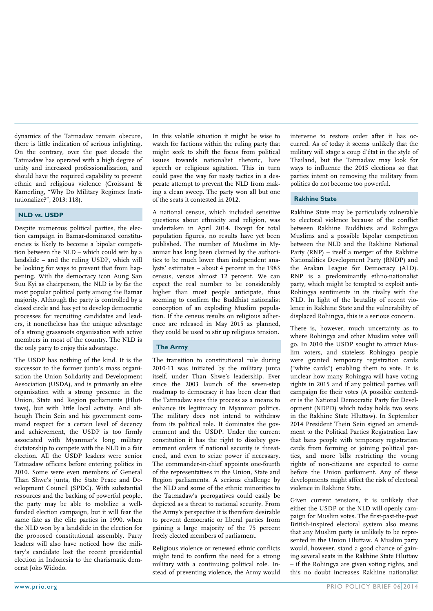dynamics of the Tatmadaw remain obscure, there is little indication of serious infighting. On the contrary, over the past decade the Tatmadaw has operated with a high degree of unity and increased professionalization, and should have the required capability to prevent ethnic and religious violence (Croissant & Kamerling, "Why Do Military Regimes Institutionalize?", 2013: 118).

## **NLD vs. USDP**

Despite numerous political parties, the election campaign in Bamar-dominated constituencies is likely to become a bipolar competition between the NLD – which could win by a landslide – and the ruling USDP, which will be looking for ways to prevent that from happening. With the democracy icon Aung San Suu Kyi as chairperson, the NLD is by far the most popular political party among the Bamar majority. Although the party is controlled by a closed circle and has yet to develop democratic processes for recruiting candidates and leaders, it nonetheless has the unique advantage of a strong grassroots organisation with active members in most of the country. The NLD is the only party to enjoy this advantage.

The USDP has nothing of the kind. It is the successor to the former junta's mass organisation the Union Solidarity and Development Association (USDA), and is primarily an elite organisation with a strong presence in the Union, State and Region parliaments (Hluttaws), but with little local activity. And although Thein Sein and his government command respect for a certain level of decency and achievement, the USDP is too firmly associated with Myanmar's long military dictatorship to compete with the NLD in a fair election. All the USDP leaders were senior Tatmadaw officers before entering politics in 2010. Some were even members of General Than Shwe's junta, the State Peace and Development Council (SPDC). With substantial resources and the backing of powerful people, the party may be able to mobilize a wellfunded election campaign, but it will fear the same fate as the elite parties in 1990, when the NLD won by a landslide in the election for the proposed constitutional assembly. Party leaders will also have noticed how the military's candidate lost the recent presidential election in Indonesia to the charismatic democrat Joko Widodo.

In this volatile situation it might be wise to watch for factions within the ruling party that might seek to shift the focus from political issues towards nationalist rhetoric, hate speech or religious agitation. This in turn could pave the way for nasty tactics in a desperate attempt to prevent the NLD from making a clean sweep. The party won all but one of the seats it contested in 2012.

A national census, which included sensitive questions about ethnicity and religion, was undertaken in April 2014. Except for total population figures, no results have yet been published. The number of Muslims in Myanmar has long been claimed by the authorities to be much lower than independent analysts' estimates – about 4 percent in the 1983 census, versus almost 12 percent. We can expect the real number to be considerably higher than most people anticipate, thus seeming to confirm the Buddhist nationalist conception of an exploding Muslim population. If the census results on religious adherence are released in May 2015 as planned, they could be used to stir up religious tension.

## **The Army**

The transition to constitutional rule during 2010-11 was initiated by the military junta itself, under Than Shwe's leadership. Ever since the 2003 launch of the seven-step roadmap to democracy it has been clear that the Tatmadaw sees this process as a means to enhance its legitimacy in Myanmar politics. The military does not intend to withdraw from its political role. It dominates the government and the USDP. Under the current constitution it has the right to disobey government orders if national security is threatened, and even to seize power if necessary. The commander-in-chief appoints one-fourth of the representatives in the Union, State and Region parliaments. A serious challenge by the NLD and some of the ethnic minorities to the Tatmadaw's prerogatives could easily be depicted as a threat to national security. From the Army's perspective it is therefore desirable to prevent democratic or liberal parties from gaining a large majority of the 75 percent freely elected members of parliament.

Religious violence or renewed ethnic conflicts might tend to confirm the need for a strong military with a continuing political role. Instead of preventing violence, the Army would

intervene to restore order after it has occurred. As of today it seems unlikely that the military will stage a coup d'état in the style of Thailand, but the Tatmadaw may look for ways to influence the 2015 elections so that parties intent on removing the military from politics do not become too powerful.

#### **Rakhine State**

Rakhine State may be particularly vulnerable to electoral violence because of the conflict between Rakhine Buddhists and Rohingya Muslims and a possible bipolar competition between the NLD and the Rakhine National Party (RNP) – itself a merger of the Rakhine Nationalities Development Party (RNDP) and the Arakan League for Democracy (ALD). RNP is a predominantly ethno-nationalist party, which might be tempted to exploit anti-Rohingya sentiments in its rivalry with the NLD. In light of the brutality of recent violence in Rakhine State and the vulnerability of displaced Rohingya, this is a serious concern.

There is, however, much uncertainty as to where Rohingya and other Muslim votes will go. In 2010 the USDP sought to attract Muslim voters, and stateless Rohingya people were granted temporary registration cards ("white cards") enabling them to vote. It is unclear how many Rohingya will have voting rights in 2015 and if any political parties will campaign for their votes (A possible contender is the National Democratic Party for Development (NDPD) which today holds two seats in the Rakhine State Hluttaw). In September 2014 President Thein Sein signed an amendment to the Political Parties Registration Law that bans people with temporary registration cards from forming or joining political parties, and more bills restricting the voting rights of non-citizens are expected to come before the Union parliament. Any of these developments might affect the risk of electoral violence in Rakhine State.

Given current tensions, it is unlikely that either the USDP or the NLD will openly campaign for Muslim votes. The first-past-the-post British-inspired electoral system also means that any Muslim party is unlikely to be represented in the Union Hluttaw. A Muslim party would, however, stand a good chance of gaining several seats in the Rakhine State Hluttaw – if the Rohingya are given voting rights, and this no doubt increases Rakhine nationalist